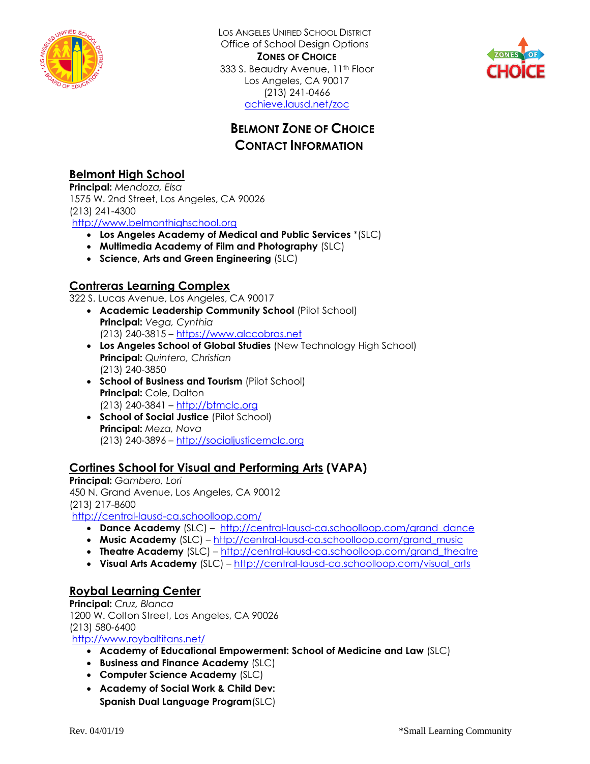

LOS ANGELES UNIFIED SCHOOL DISTRICT Office of School Design Options **ZONES OF CHOICE** 333 S. Beaudry Avenue, 11<sup>th</sup> Floor Los Angeles, CA 90017 (213) 241-0466 [achieve.lausd.net/zoc](http://achieve.lausd.net/zoc)



## **BELMONT ZONE OF CHOICE CONTACT INFORMATION**

### **Belmont High School**

**Principal:** *Mendoza, Elsa* 1575 W. 2nd Street, Los Angeles, CA 90026 (213) 241-4300

[http://www.belmonthighschool.org](http://www.belmonthighschool.org/)

- **Los Angeles Academy of Medical and Public Services** \*(SLC)
- **Multimedia Academy of Film and Photography** (SLC)
- **Science, Arts and Green Engineering** (SLC)

### **Contreras Learning Complex**

322 S. Lucas Avenue, Los Angeles, CA 90017

- **Academic Leadership Community School** (Pilot School) **Principal:** *Vega, Cynthia* (213) 240-3815 – [https://www.alccobras.net](https://www.alccobras.net/)
- **Los Angeles School of Global Studies** (New Technology High School) **Principal:** *Quintero, Christian*  (213) 240-3850
- **School of Business and Tourism** (Pilot School) **Principal:** Cole, Dalton (213) 240-3841 – http://btmclc.org
- **School of Social Justice** (Pilot School) **Principal:** *Meza, Nova*  (213) 240-3896 – [http://socialjusticemclc.org](http://socialjusticemclc.org/)

#### **Cortines School for Visual and Performing Arts (VAPA)**

**Principal:** *Gambero, Lori* 450 N. Grand Avenue, Los Angeles, CA 90012 (213) 217-8600 <http://central-lausd-ca.schoolloop.com/>

- **Dance Academy** (SLC) [http://central-lausd-ca.schoolloop.com/grand\\_dance](http://central-lausd-ca.schoolloop.com/grand_dance)
- **Music Academy** (SLC) [http://central-lausd-ca.schoolloop.com/grand\\_music](http://central-lausd-ca.schoolloop.com/grand_music)
- **Theatre Academy** (SLC) [http://central-lausd-ca.schoolloop.com/grand\\_theatre](http://central-lausd-ca.schoolloop.com/grand_theatre)
- **Visual Arts Academy** (SLC) [http://central-lausd-ca.schoolloop.com/visual\\_arts](http://central-lausd-ca.schoolloop.com/visual_arts)

#### **Roybal Learning Center**

**Principal:** *Cruz, Blanca* 1200 W. Colton Street, Los Angeles, CA 90026 (213) 580-6400 <http://www.roybaltitans.net/>

**Academy of Educational Empowerment: School of Medicine and Law** (SLC)

- **Business and Finance Academy** (SLC)
- **Computer Science Academy** (SLC)
- **Academy of Social Work & Child Dev: Spanish Dual Language Program**(SLC)